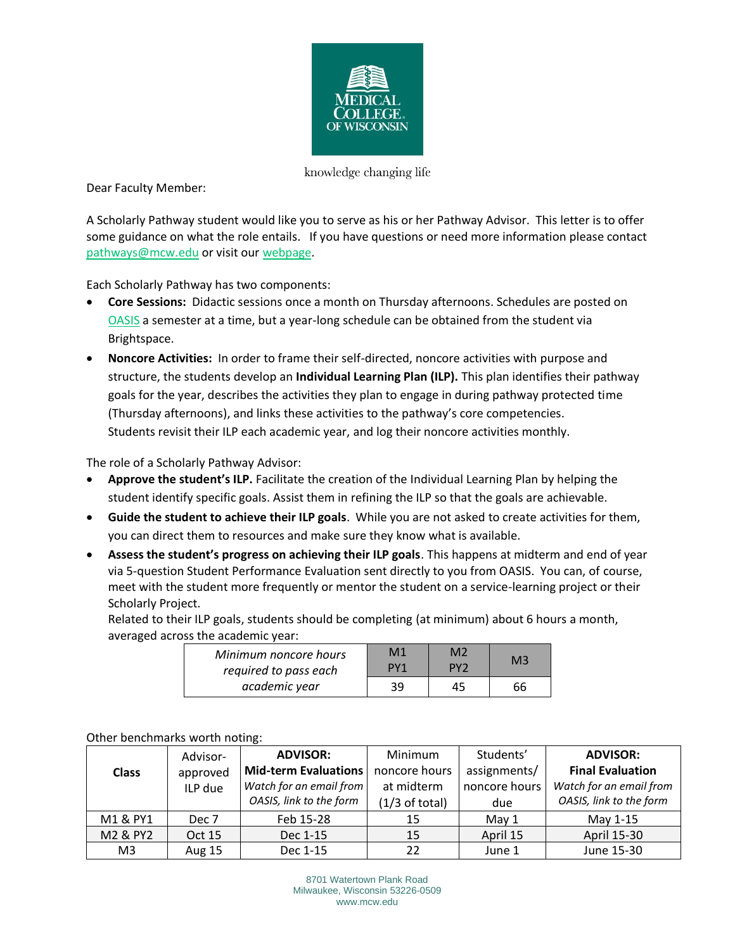

knowledge changing life

Dear Faculty Member:

A Scholarly Pathway student would like you to serve as his or her Pathway Advisor. This letter is to offer some guidance on what the role entails. If you have questions or need more information please contact [pathways@mcw.edu](mailto:pathways@mcw.edu) or visit our [webpage.](https://www.mcw.edu/education/medical-school/discovery-curriculum/Office-of-Student-Scholarly-Activities)

Each Scholarly Pathway has two components:

- **Core Sessions:** Didactic sessions once a month on Thursday afternoons. Schedules are posted on [OASIS](https://oasis.acad.mcw.edu/) a semester at a time, but a year-long schedule can be obtained from the student via Brightspace.
- **Noncore Activities:** In order to frame their self-directed, noncore activities with purpose and structure, the students develop an **Individual Learning Plan (ILP).** This plan identifies their pathway goals for the year, describes the activities they plan to engage in during pathway protected time (Thursday afternoons), and links these activities to the pathway's core competencies. Students revisit their ILP each academic year, and log their noncore activities monthly.

The role of a Scholarly Pathway Advisor:

- **Approve the student's ILP.** Facilitate the creation of the Individual Learning Plan by helping the student identify specific goals. Assist them in refining the ILP so that the goals are achievable.
- **Guide the student to achieve their ILP goals**. While you are not asked to create activities for them, you can direct them to resources and make sure they know what is available.
- **Assess the student's progress on achieving their ILP goals**. This happens at midterm and end of year via 5-question Student Performance Evaluation sent directly to you from OASIS. You can, of course, meet with the student more frequently or mentor the student on a service-learning project or their Scholarly Project.

Related to their ILP goals, students should be completing (at minimum) about 6 hours a month, averaged across the academic year:

| Minimum noncore hours | M1              | M <sub>2</sub>  | M <sub>3</sub> |
|-----------------------|-----------------|-----------------|----------------|
| required to pass each | PY <sub>1</sub> | PY <sub>2</sub> |                |
| academic year         | 39              | 45              | 66             |

| <b>OUTCL DETICITIONS WOLUT HOUTE.</b> |               |                         |                          |               |                         |  |  |
|---------------------------------------|---------------|-------------------------|--------------------------|---------------|-------------------------|--|--|
|                                       | Advisor-      | <b>ADVISOR:</b>         | Minimum                  | Students'     | <b>ADVISOR:</b>         |  |  |
| <b>Class</b>                          | approved      | Mid-term Evaluations    | noncore hours            | assignments/  | <b>Final Evaluation</b> |  |  |
|                                       | ILP due       | Watch for an email from | at midterm               | noncore hours | Watch for an email from |  |  |
|                                       |               | OASIS, link to the form | $(1/3 \text{ of total})$ | due           | OASIS, link to the form |  |  |
| M1 & PY1                              | Dec 7         | Feb 15-28               | 15                       | May 1         | May 1-15                |  |  |
| M2 & PY2                              | Oct 15        | Dec 1-15                | 15                       | April 15      | April 15-30             |  |  |
| M <sub>3</sub>                        | <b>Aug 15</b> | Dec 1-15                | 22                       | June 1        | June 15-30              |  |  |

## Other benchmarks worth noting: